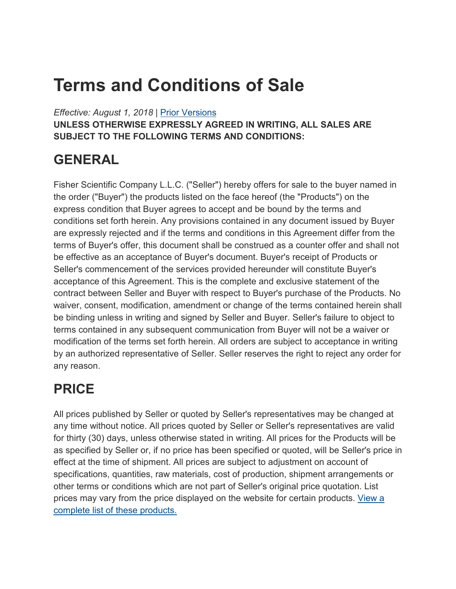# **Terms and Conditions of Sale**

*Effective: August 1, 2018* | [Prior Versions](https://www.fishersci.com/us/en/footer/terms-conditions/sales_terms_and_conditions.html#Prior)

**UNLESS OTHERWISE EXPRESSLY AGREED IN WRITING, ALL SALES ARE SUBJECT TO THE FOLLOWING TERMS AND CONDITIONS:**

## **GENERAL**

Fisher Scientific Company L.L.C. ("Seller") hereby offers for sale to the buyer named in the order ("Buyer") the products listed on the face hereof (the "Products") on the express condition that Buyer agrees to accept and be bound by the terms and conditions set forth herein. Any provisions contained in any document issued by Buyer are expressly rejected and if the terms and conditions in this Agreement differ from the terms of Buyer's offer, this document shall be construed as a counter offer and shall not be effective as an acceptance of Buyer's document. Buyer's receipt of Products or Seller's commencement of the services provided hereunder will constitute Buyer's acceptance of this Agreement. This is the complete and exclusive statement of the contract between Seller and Buyer with respect to Buyer's purchase of the Products. No waiver, consent, modification, amendment or change of the terms contained herein shall be binding unless in writing and signed by Seller and Buyer. Seller's failure to object to terms contained in any subsequent communication from Buyer will not be a waiver or modification of the terms set forth herein. All orders are subject to acceptance in writing by an authorized representative of Seller. Seller reserves the right to reject any order for any reason.

## **PRICE**

All prices published by Seller or quoted by Seller's representatives may be changed at any time without notice. All prices quoted by Seller or Seller's representatives are valid for thirty (30) days, unless otherwise stated in writing. All prices for the Products will be as specified by Seller or, if no price has been specified or quoted, will be Seller's price in effect at the time of shipment. All prices are subject to adjustment on account of specifications, quantities, raw materials, cost of production, shipment arrangements or other terms or conditions which are not part of Seller's original price quotation. List prices may vary from the price displayed on the website for certain products. [View a](https://beta-static.fishersci.com/content/dam/fishersci/en_US/documents/programs/scientific/regulatory-documents/terms-conditions/sgi-update-november-2017.pdf)  [complete list of these products.](https://beta-static.fishersci.com/content/dam/fishersci/en_US/documents/programs/scientific/regulatory-documents/terms-conditions/sgi-update-november-2017.pdf)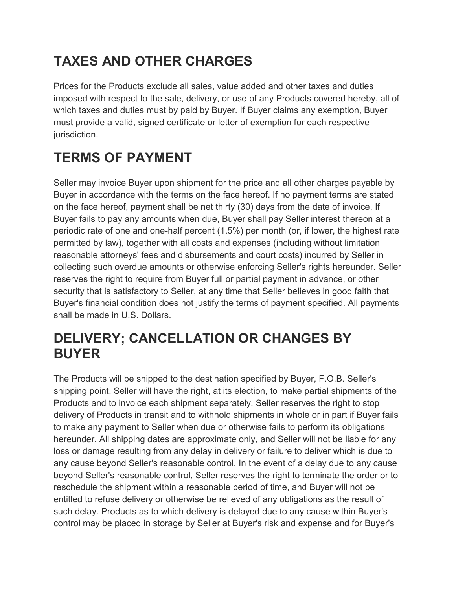## **TAXES AND OTHER CHARGES**

Prices for the Products exclude all sales, value added and other taxes and duties imposed with respect to the sale, delivery, or use of any Products covered hereby, all of which taxes and duties must by paid by Buyer. If Buyer claims any exemption, Buyer must provide a valid, signed certificate or letter of exemption for each respective jurisdiction.

## **TERMS OF PAYMENT**

Seller may invoice Buyer upon shipment for the price and all other charges payable by Buyer in accordance with the terms on the face hereof. If no payment terms are stated on the face hereof, payment shall be net thirty (30) days from the date of invoice. If Buyer fails to pay any amounts when due, Buyer shall pay Seller interest thereon at a periodic rate of one and one-half percent (1.5%) per month (or, if lower, the highest rate permitted by law), together with all costs and expenses (including without limitation reasonable attorneys' fees and disbursements and court costs) incurred by Seller in collecting such overdue amounts or otherwise enforcing Seller's rights hereunder. Seller reserves the right to require from Buyer full or partial payment in advance, or other security that is satisfactory to Seller, at any time that Seller believes in good faith that Buyer's financial condition does not justify the terms of payment specified. All payments shall be made in U.S. Dollars.

### **DELIVERY; CANCELLATION OR CHANGES BY BUYER**

The Products will be shipped to the destination specified by Buyer, F.O.B. Seller's shipping point. Seller will have the right, at its election, to make partial shipments of the Products and to invoice each shipment separately. Seller reserves the right to stop delivery of Products in transit and to withhold shipments in whole or in part if Buyer fails to make any payment to Seller when due or otherwise fails to perform its obligations hereunder. All shipping dates are approximate only, and Seller will not be liable for any loss or damage resulting from any delay in delivery or failure to deliver which is due to any cause beyond Seller's reasonable control. In the event of a delay due to any cause beyond Seller's reasonable control, Seller reserves the right to terminate the order or to reschedule the shipment within a reasonable period of time, and Buyer will not be entitled to refuse delivery or otherwise be relieved of any obligations as the result of such delay. Products as to which delivery is delayed due to any cause within Buyer's control may be placed in storage by Seller at Buyer's risk and expense and for Buyer's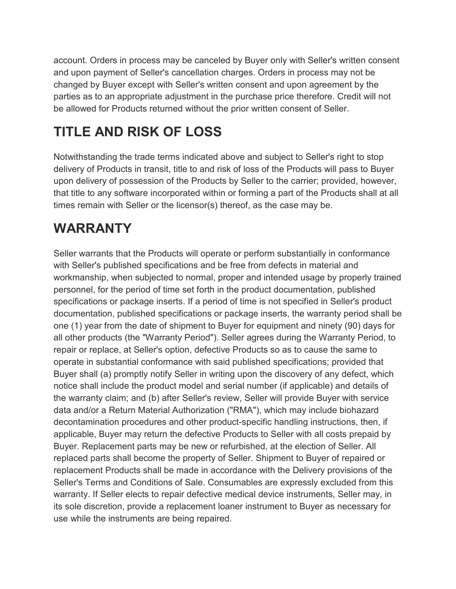account. Orders in process may be canceled by Buyer only with Seller's written consent and upon payment of Seller's cancellation charges. Orders in process may not be changed by Buyer except with Seller's written consent and upon agreement by the parties as to an appropriate adjustment in the purchase price therefore. Credit will not be allowed for Products returned without the prior written consent of Seller.

## **TITLE AND RISK OF LOSS**

Notwithstanding the trade terms indicated above and subject to Seller's right to stop delivery of Products in transit, title to and risk of loss of the Products will pass to Buyer upon delivery of possession of the Products by Seller to the carrier; provided, however, that title to any software incorporated within or forming a part of the Products shall at all times remain with Seller or the licensor(s) thereof, as the case may be.

## **WARRANTY**

Seller warrants that the Products will operate or perform substantially in conformance with Seller's published specifications and be free from defects in material and workmanship, when subjected to normal, proper and intended usage by properly trained personnel, for the period of time set forth in the product documentation, published specifications or package inserts. If a period of time is not specified in Seller's product documentation, published specifications or package inserts, the warranty period shall be one (1) year from the date of shipment to Buyer for equipment and ninety (90) days for all other products (the "Warranty Period"). Seller agrees during the Warranty Period, to repair or replace, at Seller's option, defective Products so as to cause the same to operate in substantial conformance with said published specifications; provided that Buyer shall (a) promptly notify Seller in writing upon the discovery of any defect, which notice shall include the product model and serial number (if applicable) and details of the warranty claim; and (b) after Seller's review, Seller will provide Buyer with service data and/or a Return Material Authorization ("RMA"), which may include biohazard decontamination procedures and other product-specific handling instructions, then, if applicable, Buyer may return the defective Products to Seller with all costs prepaid by Buyer. Replacement parts may be new or refurbished, at the election of Seller. All replaced parts shall become the property of Seller. Shipment to Buyer of repaired or replacement Products shall be made in accordance with the Delivery provisions of the Seller's Terms and Conditions of Sale. Consumables are expressly excluded from this warranty. If Seller elects to repair defective medical device instruments, Seller may, in its sole discretion, provide a replacement loaner instrument to Buyer as necessary for use while the instruments are being repaired.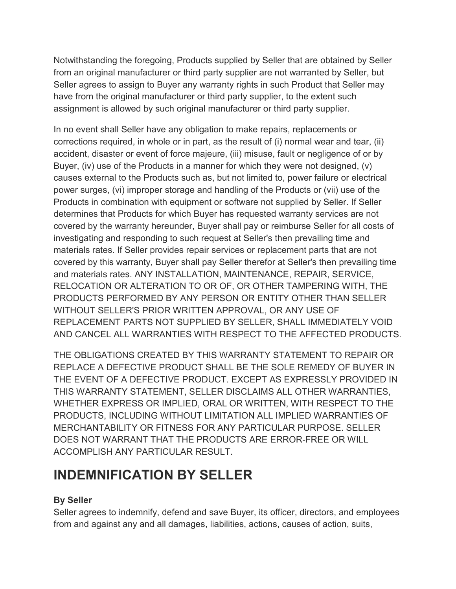Notwithstanding the foregoing, Products supplied by Seller that are obtained by Seller from an original manufacturer or third party supplier are not warranted by Seller, but Seller agrees to assign to Buyer any warranty rights in such Product that Seller may have from the original manufacturer or third party supplier, to the extent such assignment is allowed by such original manufacturer or third party supplier.

In no event shall Seller have any obligation to make repairs, replacements or corrections required, in whole or in part, as the result of (i) normal wear and tear, (ii) accident, disaster or event of force majeure, (iii) misuse, fault or negligence of or by Buyer, (iv) use of the Products in a manner for which they were not designed, (v) causes external to the Products such as, but not limited to, power failure or electrical power surges, (vi) improper storage and handling of the Products or (vii) use of the Products in combination with equipment or software not supplied by Seller. If Seller determines that Products for which Buyer has requested warranty services are not covered by the warranty hereunder, Buyer shall pay or reimburse Seller for all costs of investigating and responding to such request at Seller's then prevailing time and materials rates. If Seller provides repair services or replacement parts that are not covered by this warranty, Buyer shall pay Seller therefor at Seller's then prevailing time and materials rates. ANY INSTALLATION, MAINTENANCE, REPAIR, SERVICE, RELOCATION OR ALTERATION TO OR OF, OR OTHER TAMPERING WITH, THE PRODUCTS PERFORMED BY ANY PERSON OR ENTITY OTHER THAN SELLER WITHOUT SELLER'S PRIOR WRITTEN APPROVAL, OR ANY USE OF REPLACEMENT PARTS NOT SUPPLIED BY SELLER, SHALL IMMEDIATELY VOID AND CANCEL ALL WARRANTIES WITH RESPECT TO THE AFFECTED PRODUCTS.

THE OBLIGATIONS CREATED BY THIS WARRANTY STATEMENT TO REPAIR OR REPLACE A DEFECTIVE PRODUCT SHALL BE THE SOLE REMEDY OF BUYER IN THE EVENT OF A DEFECTIVE PRODUCT. EXCEPT AS EXPRESSLY PROVIDED IN THIS WARRANTY STATEMENT, SELLER DISCLAIMS ALL OTHER WARRANTIES, WHETHER EXPRESS OR IMPLIED, ORAL OR WRITTEN, WITH RESPECT TO THE PRODUCTS, INCLUDING WITHOUT LIMITATION ALL IMPLIED WARRANTIES OF MERCHANTABILITY OR FITNESS FOR ANY PARTICULAR PURPOSE. SELLER DOES NOT WARRANT THAT THE PRODUCTS ARE ERROR-FREE OR WILL ACCOMPLISH ANY PARTICULAR RESULT.

### **INDEMNIFICATION BY SELLER**

#### **By Seller**

Seller agrees to indemnify, defend and save Buyer, its officer, directors, and employees from and against any and all damages, liabilities, actions, causes of action, suits,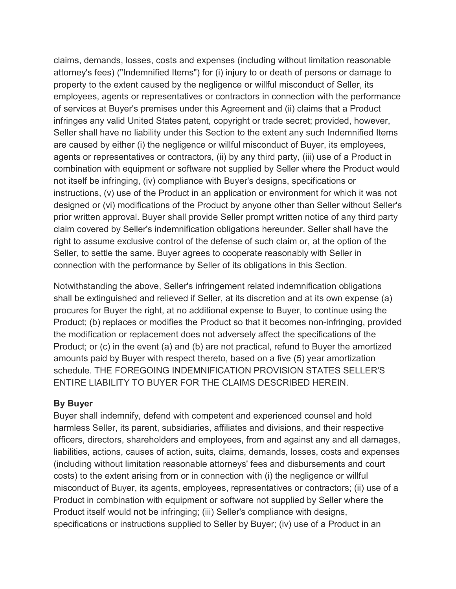claims, demands, losses, costs and expenses (including without limitation reasonable attorney's fees) ("Indemnified Items") for (i) injury to or death of persons or damage to property to the extent caused by the negligence or willful misconduct of Seller, its employees, agents or representatives or contractors in connection with the performance of services at Buyer's premises under this Agreement and (ii) claims that a Product infringes any valid United States patent, copyright or trade secret; provided, however, Seller shall have no liability under this Section to the extent any such Indemnified Items are caused by either (i) the negligence or willful misconduct of Buyer, its employees, agents or representatives or contractors, (ii) by any third party, (iii) use of a Product in combination with equipment or software not supplied by Seller where the Product would not itself be infringing, (iv) compliance with Buyer's designs, specifications or instructions, (v) use of the Product in an application or environment for which it was not designed or (vi) modifications of the Product by anyone other than Seller without Seller's prior written approval. Buyer shall provide Seller prompt written notice of any third party claim covered by Seller's indemnification obligations hereunder. Seller shall have the right to assume exclusive control of the defense of such claim or, at the option of the Seller, to settle the same. Buyer agrees to cooperate reasonably with Seller in connection with the performance by Seller of its obligations in this Section.

Notwithstanding the above, Seller's infringement related indemnification obligations shall be extinguished and relieved if Seller, at its discretion and at its own expense (a) procures for Buyer the right, at no additional expense to Buyer, to continue using the Product; (b) replaces or modifies the Product so that it becomes non-infringing, provided the modification or replacement does not adversely affect the specifications of the Product; or (c) in the event (a) and (b) are not practical, refund to Buyer the amortized amounts paid by Buyer with respect thereto, based on a five (5) year amortization schedule. THE FOREGOING INDEMNIFICATION PROVISION STATES SELLER'S ENTIRE LIABILITY TO BUYER FOR THE CLAIMS DESCRIBED HEREIN.

#### **By Buyer**

Buyer shall indemnify, defend with competent and experienced counsel and hold harmless Seller, its parent, subsidiaries, affiliates and divisions, and their respective officers, directors, shareholders and employees, from and against any and all damages, liabilities, actions, causes of action, suits, claims, demands, losses, costs and expenses (including without limitation reasonable attorneys' fees and disbursements and court costs) to the extent arising from or in connection with (i) the negligence or willful misconduct of Buyer, its agents, employees, representatives or contractors; (ii) use of a Product in combination with equipment or software not supplied by Seller where the Product itself would not be infringing; (iii) Seller's compliance with designs, specifications or instructions supplied to Seller by Buyer; (iv) use of a Product in an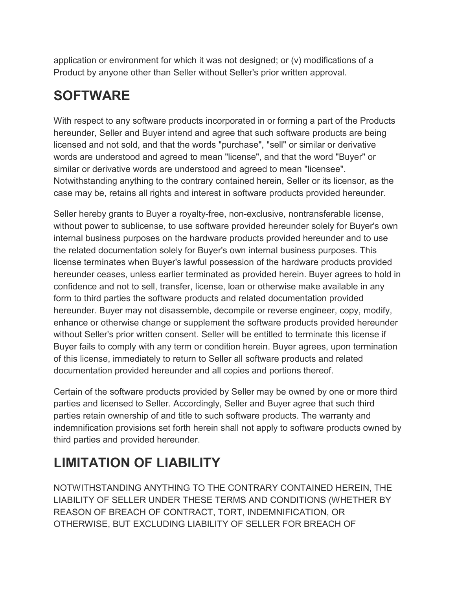application or environment for which it was not designed; or (v) modifications of a Product by anyone other than Seller without Seller's prior written approval.

## **SOFTWARE**

With respect to any software products incorporated in or forming a part of the Products hereunder, Seller and Buyer intend and agree that such software products are being licensed and not sold, and that the words "purchase", "sell" or similar or derivative words are understood and agreed to mean "license", and that the word "Buyer" or similar or derivative words are understood and agreed to mean "licensee". Notwithstanding anything to the contrary contained herein, Seller or its licensor, as the case may be, retains all rights and interest in software products provided hereunder.

Seller hereby grants to Buyer a royalty-free, non-exclusive, nontransferable license, without power to sublicense, to use software provided hereunder solely for Buyer's own internal business purposes on the hardware products provided hereunder and to use the related documentation solely for Buyer's own internal business purposes. This license terminates when Buyer's lawful possession of the hardware products provided hereunder ceases, unless earlier terminated as provided herein. Buyer agrees to hold in confidence and not to sell, transfer, license, loan or otherwise make available in any form to third parties the software products and related documentation provided hereunder. Buyer may not disassemble, decompile or reverse engineer, copy, modify, enhance or otherwise change or supplement the software products provided hereunder without Seller's prior written consent. Seller will be entitled to terminate this license if Buyer fails to comply with any term or condition herein. Buyer agrees, upon termination of this license, immediately to return to Seller all software products and related documentation provided hereunder and all copies and portions thereof.

Certain of the software products provided by Seller may be owned by one or more third parties and licensed to Seller. Accordingly, Seller and Buyer agree that such third parties retain ownership of and title to such software products. The warranty and indemnification provisions set forth herein shall not apply to software products owned by third parties and provided hereunder.

## **LIMITATION OF LIABILITY**

NOTWITHSTANDING ANYTHING TO THE CONTRARY CONTAINED HEREIN, THE LIABILITY OF SELLER UNDER THESE TERMS AND CONDITIONS (WHETHER BY REASON OF BREACH OF CONTRACT, TORT, INDEMNIFICATION, OR OTHERWISE, BUT EXCLUDING LIABILITY OF SELLER FOR BREACH OF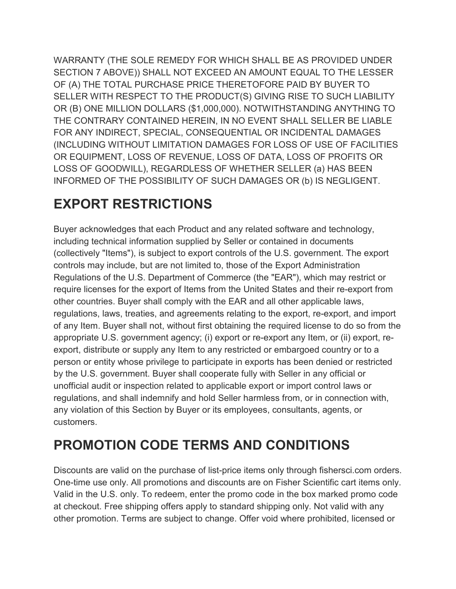WARRANTY (THE SOLE REMEDY FOR WHICH SHALL BE AS PROVIDED UNDER SECTION 7 ABOVE)) SHALL NOT EXCEED AN AMOUNT EQUAL TO THE LESSER OF (A) THE TOTAL PURCHASE PRICE THERETOFORE PAID BY BUYER TO SELLER WITH RESPECT TO THE PRODUCT(S) GIVING RISE TO SUCH LIABILITY OR (B) ONE MILLION DOLLARS (\$1,000,000). NOTWITHSTANDING ANYTHING TO THE CONTRARY CONTAINED HEREIN, IN NO EVENT SHALL SELLER BE LIABLE FOR ANY INDIRECT, SPECIAL, CONSEQUENTIAL OR INCIDENTAL DAMAGES (INCLUDING WITHOUT LIMITATION DAMAGES FOR LOSS OF USE OF FACILITIES OR EQUIPMENT, LOSS OF REVENUE, LOSS OF DATA, LOSS OF PROFITS OR LOSS OF GOODWILL), REGARDLESS OF WHETHER SELLER (a) HAS BEEN INFORMED OF THE POSSIBILITY OF SUCH DAMAGES OR (b) IS NEGLIGENT.

### **EXPORT RESTRICTIONS**

Buyer acknowledges that each Product and any related software and technology, including technical information supplied by Seller or contained in documents (collectively "Items"), is subject to export controls of the U.S. government. The export controls may include, but are not limited to, those of the Export Administration Regulations of the U.S. Department of Commerce (the "EAR"), which may restrict or require licenses for the export of Items from the United States and their re-export from other countries. Buyer shall comply with the EAR and all other applicable laws, regulations, laws, treaties, and agreements relating to the export, re-export, and import of any Item. Buyer shall not, without first obtaining the required license to do so from the appropriate U.S. government agency; (i) export or re-export any Item, or (ii) export, reexport, distribute or supply any Item to any restricted or embargoed country or to a person or entity whose privilege to participate in exports has been denied or restricted by the U.S. government. Buyer shall cooperate fully with Seller in any official or unofficial audit or inspection related to applicable export or import control laws or regulations, and shall indemnify and hold Seller harmless from, or in connection with, any violation of this Section by Buyer or its employees, consultants, agents, or customers.

## **PROMOTION CODE TERMS AND CONDITIONS**

Discounts are valid on the purchase of list-price items only through fishersci.com orders. One-time use only. All promotions and discounts are on Fisher Scientific cart items only. Valid in the U.S. only. To redeem, enter the promo code in the box marked promo code at checkout. Free shipping offers apply to standard shipping only. Not valid with any other promotion. Terms are subject to change. Offer void where prohibited, licensed or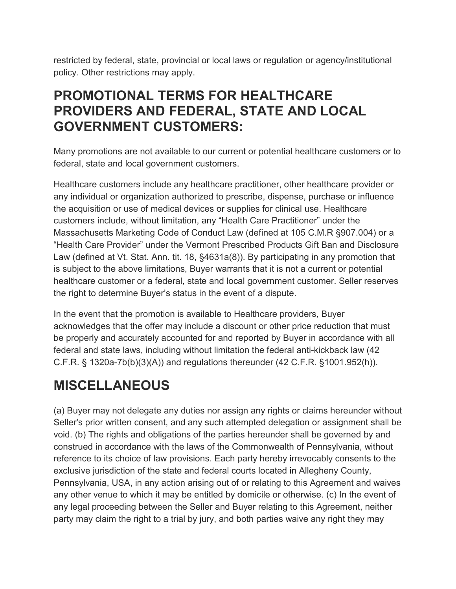restricted by federal, state, provincial or local laws or regulation or agency/institutional policy. Other restrictions may apply.

### **PROMOTIONAL TERMS FOR HEALTHCARE PROVIDERS AND FEDERAL, STATE AND LOCAL GOVERNMENT CUSTOMERS:**

Many promotions are not available to our current or potential healthcare customers or to federal, state and local government customers.

Healthcare customers include any healthcare practitioner, other healthcare provider or any individual or organization authorized to prescribe, dispense, purchase or influence the acquisition or use of medical devices or supplies for clinical use. Healthcare customers include, without limitation, any "Health Care Practitioner" under the Massachusetts Marketing Code of Conduct Law (defined at 105 C.M.R §907.004) or a "Health Care Provider" under the Vermont Prescribed Products Gift Ban and Disclosure Law (defined at Vt. Stat. Ann. tit. 18, §4631a(8)). By participating in any promotion that is subject to the above limitations, Buyer warrants that it is not a current or potential healthcare customer or a federal, state and local government customer. Seller reserves the right to determine Buyer's status in the event of a dispute.

In the event that the promotion is available to Healthcare providers, Buyer acknowledges that the offer may include a discount or other price reduction that must be properly and accurately accounted for and reported by Buyer in accordance with all federal and state laws, including without limitation the federal anti-kickback law (42 C.F.R. § 1320a-7b(b)(3)(A)) and regulations thereunder (42 C.F.R. §1001.952(h)).

## **MISCELLANEOUS**

(a) Buyer may not delegate any duties nor assign any rights or claims hereunder without Seller's prior written consent, and any such attempted delegation or assignment shall be void. (b) The rights and obligations of the parties hereunder shall be governed by and construed in accordance with the laws of the Commonwealth of Pennsylvania, without reference to its choice of law provisions. Each party hereby irrevocably consents to the exclusive jurisdiction of the state and federal courts located in Allegheny County, Pennsylvania, USA, in any action arising out of or relating to this Agreement and waives any other venue to which it may be entitled by domicile or otherwise. (c) In the event of any legal proceeding between the Seller and Buyer relating to this Agreement, neither party may claim the right to a trial by jury, and both parties waive any right they may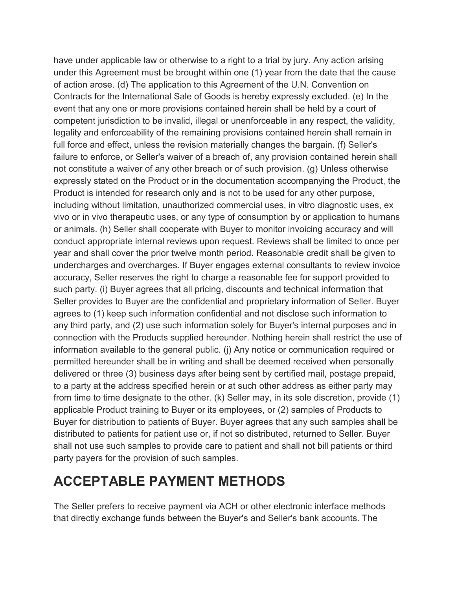have under applicable law or otherwise to a right to a trial by jury. Any action arising under this Agreement must be brought within one (1) year from the date that the cause of action arose. (d) The application to this Agreement of the U.N. Convention on Contracts for the International Sale of Goods is hereby expressly excluded. (e) In the event that any one or more provisions contained herein shall be held by a court of competent jurisdiction to be invalid, illegal or unenforceable in any respect, the validity, legality and enforceability of the remaining provisions contained herein shall remain in full force and effect, unless the revision materially changes the bargain. (f) Seller's failure to enforce, or Seller's waiver of a breach of, any provision contained herein shall not constitute a waiver of any other breach or of such provision. (g) Unless otherwise expressly stated on the Product or in the documentation accompanying the Product, the Product is intended for research only and is not to be used for any other purpose, including without limitation, unauthorized commercial uses, in vitro diagnostic uses, ex vivo or in vivo therapeutic uses, or any type of consumption by or application to humans or animals. (h) Seller shall cooperate with Buyer to monitor invoicing accuracy and will conduct appropriate internal reviews upon request. Reviews shall be limited to once per year and shall cover the prior twelve month period. Reasonable credit shall be given to undercharges and overcharges. If Buyer engages external consultants to review invoice accuracy, Seller reserves the right to charge a reasonable fee for support provided to such party. (i) Buyer agrees that all pricing, discounts and technical information that Seller provides to Buyer are the confidential and proprietary information of Seller. Buyer agrees to (1) keep such information confidential and not disclose such information to any third party, and (2) use such information solely for Buyer's internal purposes and in connection with the Products supplied hereunder. Nothing herein shall restrict the use of information available to the general public. (j) Any notice or communication required or permitted hereunder shall be in writing and shall be deemed received when personally delivered or three (3) business days after being sent by certified mail, postage prepaid, to a party at the address specified herein or at such other address as either party may from time to time designate to the other. (k) Seller may, in its sole discretion, provide (1) applicable Product training to Buyer or its employees, or (2) samples of Products to Buyer for distribution to patients of Buyer. Buyer agrees that any such samples shall be distributed to patients for patient use or, if not so distributed, returned to Seller. Buyer shall not use such samples to provide care to patient and shall not bill patients or third party payers for the provision of such samples.

### **ACCEPTABLE PAYMENT METHODS**

The Seller prefers to receive payment via ACH or other electronic interface methods that directly exchange funds between the Buyer's and Seller's bank accounts. The